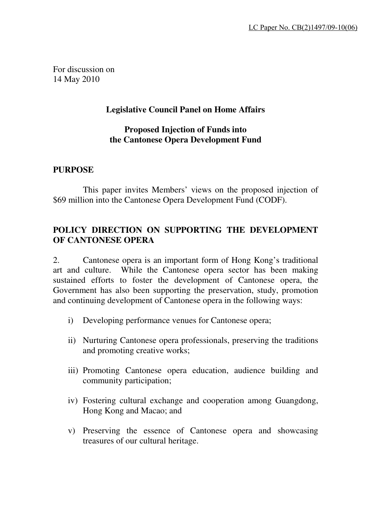For discussion on 14 May 2010

## **Legislative Council Panel on Home Affairs**

#### **Proposed Injection of Funds into the Cantonese Opera Development Fund**

#### **PURPOSE**

This paper invites Members' views on the proposed injection of \$69 million into the Cantonese Opera Development Fund (CODF).

## **POLICY DIRECTION ON SUPPORTING THE DEVELOPMENT OF CANTONESE OPERA**

2.Cantonese opera is an important form of Hong Kong's traditional art and culture. While the Cantonese opera sector has been making sustained efforts to foster the development of Cantonese opera, the Government has also been supporting the preservation, study, promotion and continuing development of Cantonese opera in the following ways:

- i) Developing performance venues for Cantonese opera;
- ii) Nurturing Cantonese opera professionals, preserving the traditions and promoting creative works;
- iii) Promoting Cantonese opera education, audience building and community participation;
- iv) Fostering cultural exchange and cooperation among Guangdong, Hong Kong and Macao; and
- v) Preserving the essence of Cantonese opera and showcasing treasures of our cultural heritage.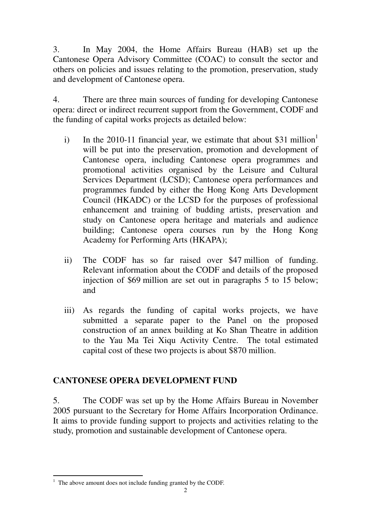3. In May 2004, the Home Affairs Bureau (HAB) set up the Cantonese Opera Advisory Committee (COAC) to consult the sector and others on policies and issues relating to the promotion, preservation, study and development of Cantonese opera.

4. There are three main sources of funding for developing Cantonese opera: direct or indirect recurrent support from the Government, CODF and the funding of capital works projects as detailed below:

- i) In the 2010-11 financial year, we estimate that about \$31 million<sup>1</sup> will be put into the preservation, promotion and development of Cantonese opera, including Cantonese opera programmes and promotional activities organised by the Leisure and Cultural Services Department (LCSD); Cantonese opera performances and programmes funded by either the Hong Kong Arts Development Council (HKADC) or the LCSD for the purposes of professional enhancement and training of budding artists, preservation and study on Cantonese opera heritage and materials and audience building; Cantonese opera courses run by the Hong Kong Academy for Performing Arts (HKAPA);
- ii) The CODF has so far raised over \$47 million of funding. Relevant information about the CODF and details of the proposed injection of \$69 million are set out in paragraphs 5 to 15 below; and
- iii) As regards the funding of capital works projects, we have submitted a separate paper to the Panel on the proposed construction of an annex building at Ko Shan Theatre in addition to the Yau Ma Tei Xiqu Activity Centre. The total estimated capital cost of these two projects is about \$870 million.

# **CANTONESE OPERA DEVELOPMENT FUND**

5. The CODF was set up by the Home Affairs Bureau in November 2005 pursuant to the Secretary for Home Affairs Incorporation Ordinance. It aims to provide funding support to projects and activities relating to the study, promotion and sustainable development of Cantonese opera.

L

 $<sup>1</sup>$  The above amount does not include funding granted by the CODF.</sup>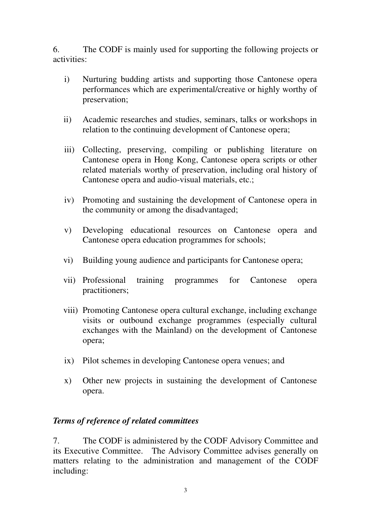6. The CODF is mainly used for supporting the following projects or activities:

- i) Nurturing budding artists and supporting those Cantonese opera performances which are experimental/creative or highly worthy of preservation;
- ii) Academic researches and studies, seminars, talks or workshops in relation to the continuing development of Cantonese opera;
- iii) Collecting, preserving, compiling or publishing literature on Cantonese opera in Hong Kong, Cantonese opera scripts or other related materials worthy of preservation, including oral history of Cantonese opera and audio-visual materials, etc.;
- iv) Promoting and sustaining the development of Cantonese opera in the community or among the disadvantaged;
- v) Developing educational resources on Cantonese opera and Cantonese opera education programmes for schools;
- vi) Building young audience and participants for Cantonese opera;
- vii) Professional training programmes for Cantonese opera practitioners;
- viii) Promoting Cantonese opera cultural exchange, including exchange visits or outbound exchange programmes (especially cultural exchanges with the Mainland) on the development of Cantonese opera;
- ix) Pilot schemes in developing Cantonese opera venues; and
- x) Other new projects in sustaining the development of Cantonese opera.

### *Terms of reference of related committees*

7. The CODF is administered by the CODF Advisory Committee and its Executive Committee. The Advisory Committee advises generally on matters relating to the administration and management of the CODF including: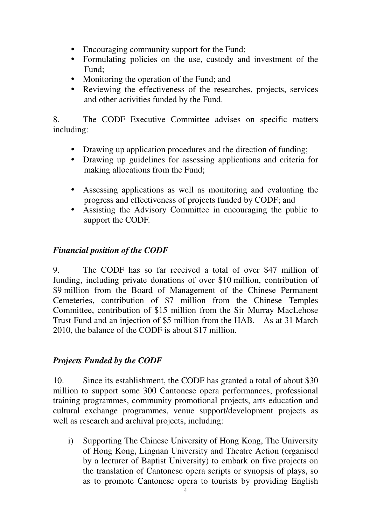- Encouraging community support for the Fund;
- Formulating policies on the use, custody and investment of the Fund;
- Monitoring the operation of the Fund; and
- Reviewing the effectiveness of the researches, projects, services and other activities funded by the Fund.

8. The CODF Executive Committee advises on specific matters including:

- Drawing up application procedures and the direction of funding;
- Drawing up guidelines for assessing applications and criteria for making allocations from the Fund;
- Assessing applications as well as monitoring and evaluating the progress and effectiveness of projects funded by CODF; and
- Assisting the Advisory Committee in encouraging the public to support the CODF.

### *Financial position of the CODF*

9. The CODF has so far received a total of over \$47 million of funding, including private donations of over \$10 million, contribution of \$9 million from the Board of Management of the Chinese Permanent Cemeteries, contribution of \$7 million from the Chinese Temples Committee, contribution of \$15 million from the Sir Murray MacLehose Trust Fund and an injection of \$5 million from the HAB. As at 31 March 2010, the balance of the CODF is about \$17 million.

#### *Projects Funded by the CODF*

10. Since its establishment, the CODF has granted a total of about \$30 million to support some 300 Cantonese opera performances, professional training programmes, community promotional projects, arts education and cultural exchange programmes, venue support/development projects as well as research and archival projects, including:

i) Supporting The Chinese University of Hong Kong, The University of Hong Kong, Lingnan University and Theatre Action (organised by a lecturer of Baptist University) to embark on five projects on the translation of Cantonese opera scripts or synopsis of plays, so as to promote Cantonese opera to tourists by providing English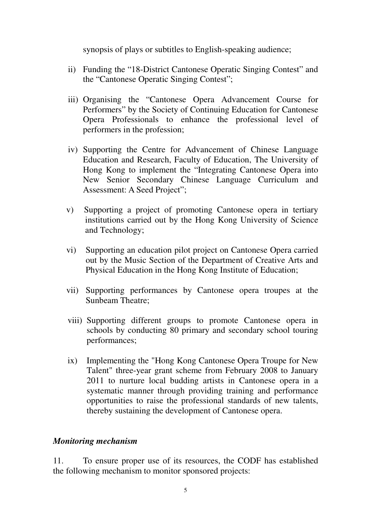synopsis of plays or subtitles to English-speaking audience;

- ii) Funding the "18-District Cantonese Operatic Singing Contest" and the "Cantonese Operatic Singing Contest";
- iii) Organising the "Cantonese Opera Advancement Course for Performers" by the Society of Continuing Education for Cantonese Opera Professionals to enhance the professional level of performers in the profession;
- iv) Supporting the Centre for Advancement of Chinese Language Education and Research, Faculty of Education, The University of Hong Kong to implement the "Integrating Cantonese Opera into New Senior Secondary Chinese Language Curriculum and Assessment: A Seed Project";
- v) Supporting a project of promoting Cantonese opera in tertiary institutions carried out by the Hong Kong University of Science and Technology;
- vi) Supporting an education pilot project on Cantonese Opera carried out by the Music Section of the Department of Creative Arts and Physical Education in the Hong Kong Institute of Education;
- vii) Supporting performances by Cantonese opera troupes at the Sunbeam Theatre;
- viii) Supporting different groups to promote Cantonese opera in schools by conducting 80 primary and secondary school touring performances;
- ix) Implementing the "Hong Kong Cantonese Opera Troupe for New Talent" three-year grant scheme from February 2008 to January 2011 to nurture local budding artists in Cantonese opera in a systematic manner through providing training and performance opportunities to raise the professional standards of new talents, thereby sustaining the development of Cantonese opera.

#### *Monitoring mechanism*

11. To ensure proper use of its resources, the CODF has established the following mechanism to monitor sponsored projects: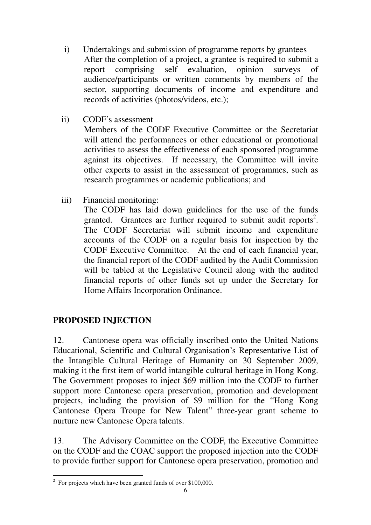- i) Undertakings and submission of programme reports by grantees After the completion of a project, a grantee is required to submit a report comprising self evaluation, opinion surveys of audience/participants or written comments by members of the sector, supporting documents of income and expenditure and records of activities (photos/videos, etc.);
- ii) CODF's assessment

Members of the CODF Executive Committee or the Secretariat will attend the performances or other educational or promotional activities to assess the effectiveness of each sponsored programme against its objectives. If necessary, the Committee will invite other experts to assist in the assessment of programmes, such as research programmes or academic publications; and

iii) Financial monitoring:

The CODF has laid down guidelines for the use of the funds granted. Grantees are further required to submit audit reports<sup>2</sup>. The CODF Secretariat will submit income and expenditure accounts of the CODF on a regular basis for inspection by the CODF Executive Committee. At the end of each financial year, the financial report of the CODF audited by the Audit Commission will be tabled at the Legislative Council along with the audited financial reports of other funds set up under the Secretary for Home Affairs Incorporation Ordinance.

### **PROPOSED INJECTION**

L

12. Cantonese opera was officially inscribed onto the United Nations Educational, Scientific and Cultural Organisation's Representative List of the Intangible Cultural Heritage of Humanity on 30 September 2009, making it the first item of world intangible cultural heritage in Hong Kong. The Government proposes to inject \$69 million into the CODF to further support more Cantonese opera preservation, promotion and development projects, including the provision of \$9 million for the "Hong Kong Cantonese Opera Troupe for New Talent" three-year grant scheme to nurture new Cantonese Opera talents.

13. The Advisory Committee on the CODF, the Executive Committee on the CODF and the COAC support the proposed injection into the CODF to provide further support for Cantonese opera preservation, promotion and

 $2^2$  For projects which have been granted funds of over \$100,000.